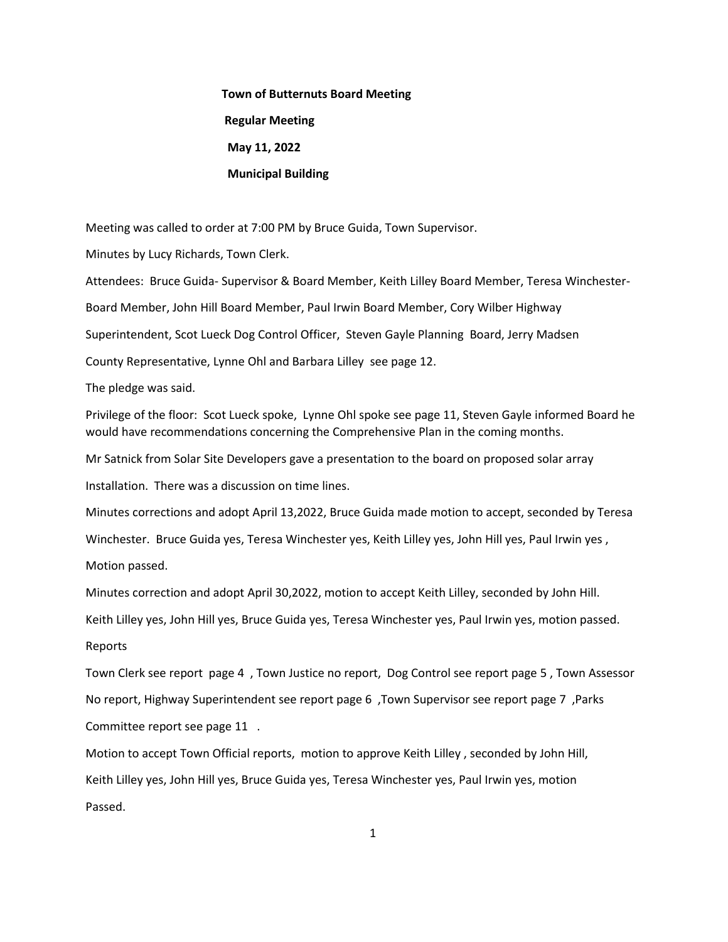## **Town of Butternuts Board Meeting Regular Meeting May 11, 2022 Municipal Building**

Meeting was called to order at 7:00 PM by Bruce Guida, Town Supervisor.

Minutes by Lucy Richards, Town Clerk.

Attendees: Bruce Guida- Supervisor & Board Member, Keith Lilley Board Member, Teresa Winchester-

Board Member, John Hill Board Member, Paul Irwin Board Member, Cory Wilber Highway

Superintendent, Scot Lueck Dog Control Officer, Steven Gayle Planning Board, Jerry Madsen

County Representative, Lynne Ohl and Barbara Lilley see page 12.

The pledge was said.

Privilege of the floor: Scot Lueck spoke, Lynne Ohl spoke see page 11, Steven Gayle informed Board he would have recommendations concerning the Comprehensive Plan in the coming months.

Mr Satnick from Solar Site Developers gave a presentation to the board on proposed solar array

Installation. There was a discussion on time lines.

Minutes corrections and adopt April 13,2022, Bruce Guida made motion to accept, seconded by Teresa Winchester. Bruce Guida yes, Teresa Winchester yes, Keith Lilley yes, John Hill yes, Paul Irwin yes , Motion passed.

Minutes correction and adopt April 30,2022, motion to accept Keith Lilley, seconded by John Hill. Keith Lilley yes, John Hill yes, Bruce Guida yes, Teresa Winchester yes, Paul Irwin yes, motion passed. Reports

Town Clerk see report page 4 , Town Justice no report, Dog Control see report page 5 , Town Assessor No report, Highway Superintendent see report page 6, Town Supervisor see report page 7, Parks Committee report see page 11 .

Motion to accept Town Official reports, motion to approve Keith Lilley , seconded by John Hill, Keith Lilley yes, John Hill yes, Bruce Guida yes, Teresa Winchester yes, Paul Irwin yes, motion Passed.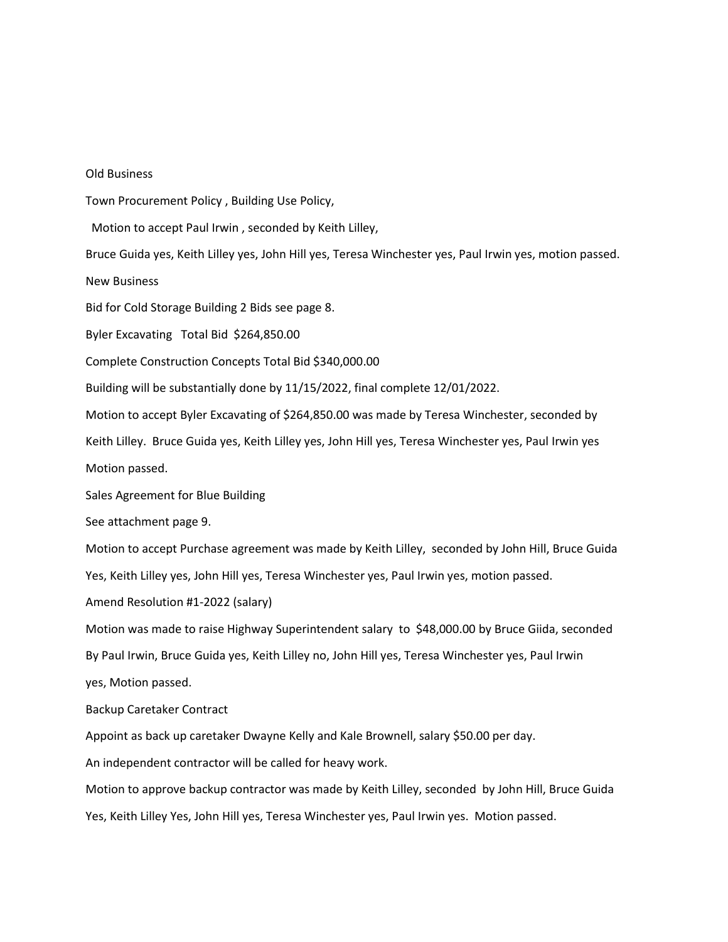## Old Business

Town Procurement Policy , Building Use Policy,

Motion to accept Paul Irwin , seconded by Keith Lilley,

Bruce Guida yes, Keith Lilley yes, John Hill yes, Teresa Winchester yes, Paul Irwin yes, motion passed.

New Business

Bid for Cold Storage Building 2 Bids see page 8.

Byler Excavating Total Bid \$264,850.00

Complete Construction Concepts Total Bid \$340,000.00

Building will be substantially done by 11/15/2022, final complete 12/01/2022.

Motion to accept Byler Excavating of \$264,850.00 was made by Teresa Winchester, seconded by

Keith Lilley. Bruce Guida yes, Keith Lilley yes, John Hill yes, Teresa Winchester yes, Paul Irwin yes

Motion passed.

Sales Agreement for Blue Building

See attachment page 9.

Motion to accept Purchase agreement was made by Keith Lilley, seconded by John Hill, Bruce Guida Yes, Keith Lilley yes, John Hill yes, Teresa Winchester yes, Paul Irwin yes, motion passed.

Amend Resolution #1-2022 (salary)

Motion was made to raise Highway Superintendent salary to \$48,000.00 by Bruce Giida, seconded By Paul Irwin, Bruce Guida yes, Keith Lilley no, John Hill yes, Teresa Winchester yes, Paul Irwin yes, Motion passed.

Backup Caretaker Contract

Appoint as back up caretaker Dwayne Kelly and Kale Brownell, salary \$50.00 per day.

An independent contractor will be called for heavy work.

Motion to approve backup contractor was made by Keith Lilley, seconded by John Hill, Bruce Guida Yes, Keith Lilley Yes, John Hill yes, Teresa Winchester yes, Paul Irwin yes. Motion passed.